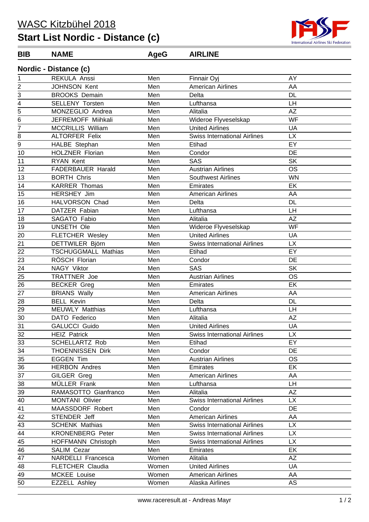## **Start List Nordic - Distance (c)**



## **Nordic - Distance (c) BIB NAME AgeG AIRLINE**

| .               | $P$ $\sim$                 |       |                                     |           |
|-----------------|----------------------------|-------|-------------------------------------|-----------|
| 1               | REKULA Anssi               | Men   | Finnair Oyj                         | AY        |
| 2               | JOHNSON Kent               | Men   | <b>American Airlines</b>            | AA        |
| 3               | <b>BROOKS Demain</b>       | Men   | Delta                               | <b>DL</b> |
| 4               | <b>SELLENY Torsten</b>     | Men   | Lufthansa                           | LH        |
| $\overline{5}$  | MONZEGLIO Andrea           | Men   | Alitalia                            | <b>AZ</b> |
| 6               | JEFREMOFF Miihkali         | Men   | Wideroe Flyveselskap                | <b>WF</b> |
| 7               | <b>MCCRILLIS William</b>   | Men   | <b>United Airlines</b>              | UA        |
| 8               | <b>ALTORFER Felix</b>      | Men   | <b>Swiss International Airlines</b> | <b>LX</b> |
| 9               | HALBE Stephan              | Men   | Etihad                              | EY        |
| 10              | <b>HOLZNER Florian</b>     | Men   | Condor                              | DE        |
| 11              | <b>RYAN Kent</b>           | Men   | SAS                                 | <b>SK</b> |
| 12              | <b>FADERBAUER Harald</b>   | Men   | <b>Austrian Airlines</b>            | <b>OS</b> |
| 13              | <b>BORTH Chris</b>         | Men   | <b>Southwest Airlines</b>           | <b>WN</b> |
| 14              | <b>KARRER Thomas</b>       | Men   | Emirates                            | EK        |
| 15              | HERSHEY Jim                | Men   | <b>American Airlines</b>            | AA        |
| 16              | HALVORSON Chad             | Men   | Delta                               | <b>DL</b> |
| 17              | DATZER Fabian              | Men   | Lufthansa                           | LH        |
| 18              | SAGATO Fabio               | Men   | Alitalia                            | <b>AZ</b> |
| 19              | UNSETH Ole                 | Men   | Wideroe Flyveselskap                | WF        |
| 20              | <b>FLETCHER Wesley</b>     | Men   | <b>United Airlines</b>              | UA        |
| 21              | <b>DETTWILER Björn</b>     | Men   | <b>Swiss International Airlines</b> | <b>LX</b> |
| 22              | <b>TSCHUGGMALL Mathias</b> | Men   | Etihad                              | EY        |
| 23              | RÖSCH Florian              | Men   | Condor                              | DE        |
| 24              | NAGY Viktor                | Men   | SAS                                 | <b>SK</b> |
| 25              | TRATTNER Joe               | Men   | <b>Austrian Airlines</b>            | <b>OS</b> |
| 26              | <b>BECKER Greg</b>         | Men   | Emirates                            | EK        |
| 27              | <b>BRIANS Wally</b>        | Men   | <b>American Airlines</b>            | AA        |
| 28              | <b>BELL Kevin</b>          | Men   | Delta                               | <b>DL</b> |
| 29              | <b>MEUWLY Matthias</b>     | Men   | Lufthansa                           | LH        |
| 30              | DATO Federico              | Men   | Alitalia                            | <b>AZ</b> |
| 31              | <b>GALUCCI Guido</b>       | Men   | <b>United Airlines</b>              | UA        |
| 32              | <b>HEIZ Patrick</b>        | Men   | <b>Swiss International Airlines</b> | <b>LX</b> |
| 33              | <b>SCHELLARTZ Rob</b>      | Men   | Etihad                              | EY        |
| 34              | THOENNISSEN Dirk           | Men   | Condor                              | DE        |
| 35              | <b>EGGEN Tim</b>           | Men   | <b>Austrian Airlines</b>            | <b>OS</b> |
| 36              | <b>HERBON Andres</b>       | Men   | Emirates                            | EK        |
| 37              | GILGER Greg                | Men   | American Airlines                   | AA        |
| 38              | MÜLLER Frank               | Men   | Lufthansa                           | LH.       |
| 39              | RAMASOTTO Gianfranco       | Men   | Alitalia                            | AZ        |
| 40              | <b>MONTANI Olivier</b>     | Men   | <b>Swiss International Airlines</b> | <b>LX</b> |
| 41              | MAASSDORF Robert           | Men   | Condor                              | DE        |
| $\overline{42}$ | STENDER Jeff               | Men   | <b>American Airlines</b>            | AA        |
| 43              | <b>SCHENK Mathias</b>      | Men   | <b>Swiss International Airlines</b> | <b>LX</b> |
| $\overline{44}$ | <b>KRONENBERG Peter</b>    | Men   | <b>Swiss International Airlines</b> | <b>LX</b> |
| 45              | HOFFMANN Christoph         | Men   | <b>Swiss International Airlines</b> | <b>LX</b> |
| 46              | SALIM Cezar                | Men   | Emirates                            | EK        |
| 47              | NARDELLI Francesca         | Women | Alitalia                            | ΑZ        |
| 48              | FLETCHER Claudia           | Women | <b>United Airlines</b>              | UA        |
| 49              | MCKEE Louise               | Women | <b>American Airlines</b>            | AA        |
| 50              | <b>EZZELL Ashley</b>       | Women | Alaska Airlines                     | AS        |
|                 |                            |       |                                     |           |